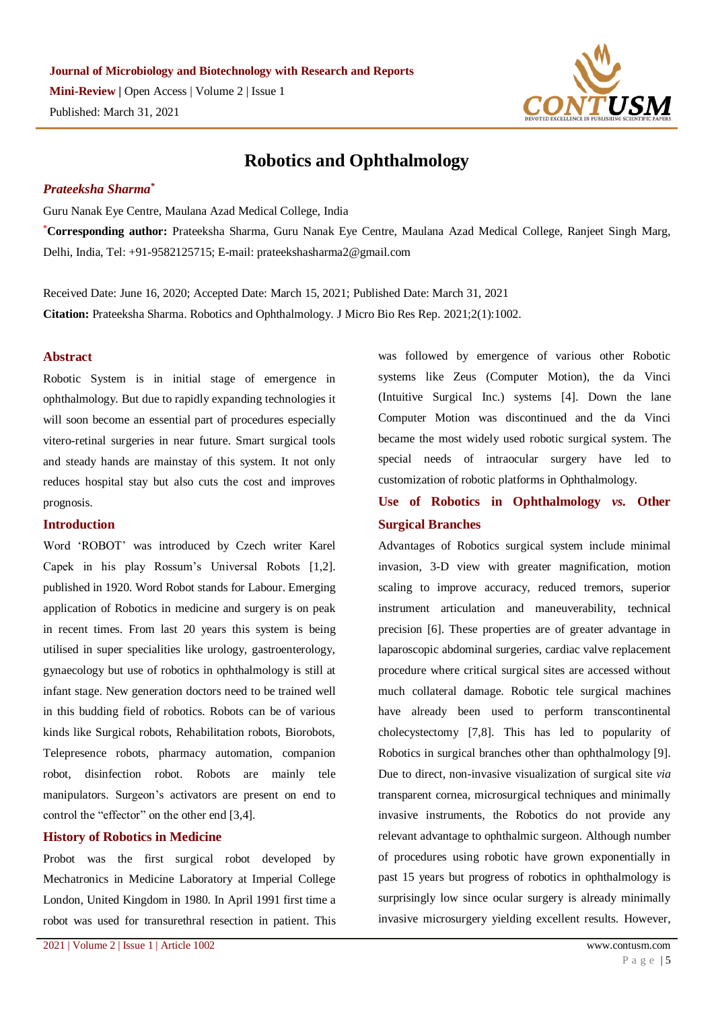

# **Robotics and Ophthalmology**

## *Prateeksha Sharma\**

Guru Nanak Eye Centre, Maulana Azad Medical College, India

**\*Corresponding author:** Prateeksha Sharma, Guru Nanak Eye Centre, Maulana Azad Medical College, Ranjeet Singh Marg, Delhi, India, Tel: +91-9582125715; E-mail: prateekshasharma2@gmail.com

Received Date: June 16, 2020; Accepted Date: March 15, 2021; Published Date: March 31, 2021 **Citation:** Prateeksha Sharma. Robotics and Ophthalmology. J Micro Bio Res Rep. 2021;2(1):1002.

### **Abstract**

Robotic System is in initial stage of emergence in ophthalmology. But due to rapidly expanding technologies it will soon become an essential part of procedures especially vitero-retinal surgeries in near future. Smart surgical tools and steady hands are mainstay of this system. It not only reduces hospital stay but also cuts the cost and improves prognosis.

## **Introduction**

Word 'ROBOT' was introduced by Czech writer Karel Capek in his play Rossum's Universal Robots [1,2]. published in 1920. Word Robot stands for Labour. Emerging application of Robotics in medicine and surgery is on peak in recent times. From last 20 years this system is being utilised in super specialities like urology, gastroenterology, gynaecology but use of robotics in ophthalmology is still at infant stage. New generation doctors need to be trained well in this budding field of robotics. Robots can be of various kinds like Surgical robots, Rehabilitation robots, Biorobots, Telepresence robots, pharmacy automation, companion robot, disinfection robot. Robots are mainly tele manipulators. Surgeon's activators are present on end to control the "effector" on the other end [3,4].

### **History of Robotics in Medicine**

Probot was the first surgical robot developed by Mechatronics in Medicine Laboratory at Imperial College London, United Kingdom in 1980. In April 1991 first time a robot was used for transurethral resection in patient. This

was followed by emergence of various other Robotic systems like Zeus (Computer Motion), the da Vinci (Intuitive Surgical Inc.) systems [4]. Down the lane Computer Motion was discontinued and the da Vinci became the most widely used robotic surgical system. The special needs of intraocular surgery have led to customization of robotic platforms in Ophthalmology.

# **Use of Robotics in Ophthalmology** *vs.* **Other Surgical Branches**

Advantages of Robotics surgical system include minimal invasion, 3-D view with greater magnification, motion scaling to improve accuracy, reduced tremors, superior instrument articulation and maneuverability, technical precision [6]. These properties are of greater advantage in laparoscopic abdominal surgeries, cardiac valve replacement procedure where critical surgical sites are accessed without much collateral damage. Robotic tele surgical machines have already been used to perform transcontinental cholecystectomy [7,8]. This has led to popularity of Robotics in surgical branches other than ophthalmology [9]. Due to direct, non-invasive visualization of surgical site *via* transparent cornea, microsurgical techniques and minimally invasive instruments, the Robotics do not provide any relevant advantage to ophthalmic surgeon. Although number of procedures using robotic have grown exponentially in past 15 years but progress of robotics in ophthalmology is surprisingly low since ocular surgery is already minimally invasive microsurgery yielding excellent results. However,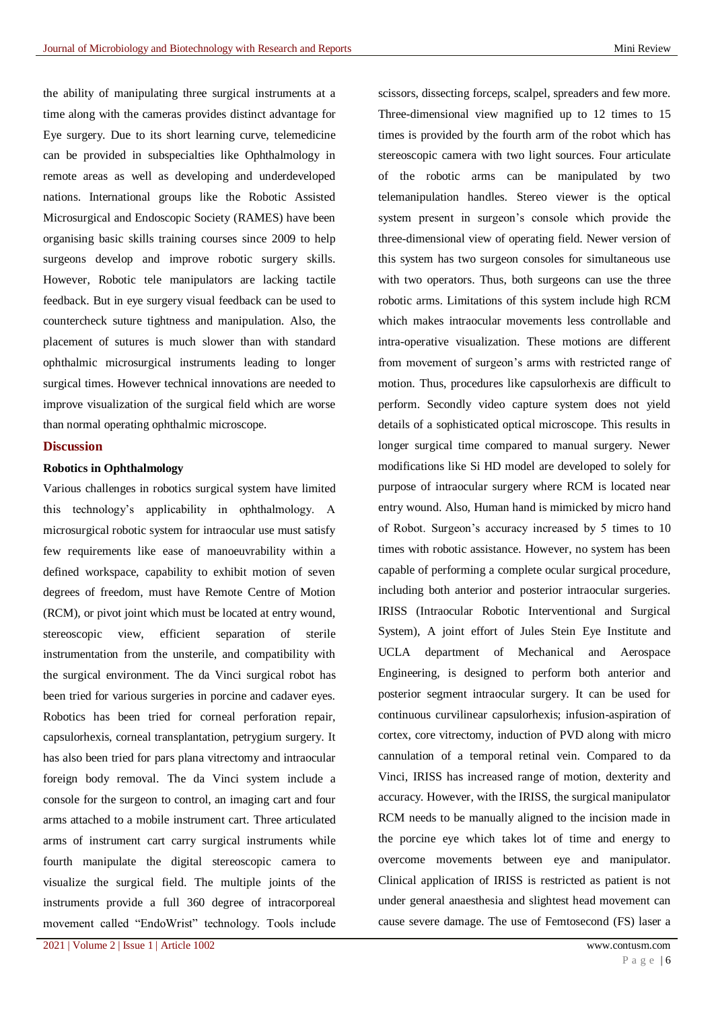the ability of manipulating three surgical instruments at a time along with the cameras provides distinct advantage for Eye surgery. Due to its short learning curve, telemedicine can be provided in subspecialties like Ophthalmology in remote areas as well as developing and underdeveloped nations. International groups like the Robotic Assisted Microsurgical and Endoscopic Society (RAMES) have been organising basic skills training courses since 2009 to help surgeons develop and improve robotic surgery skills. However, Robotic tele manipulators are lacking tactile feedback. But in eye surgery visual feedback can be used to countercheck suture tightness and manipulation. Also, the placement of sutures is much slower than with standard ophthalmic microsurgical instruments leading to longer surgical times. However technical innovations are needed to improve visualization of the surgical field which are worse than normal operating ophthalmic microscope.

## **Discussion**

### **Robotics in Ophthalmology**

Various challenges in robotics surgical system have limited this technology's applicability in ophthalmology. A microsurgical robotic system for intraocular use must satisfy few requirements like ease of manoeuvrability within a defined workspace, capability to exhibit motion of seven degrees of freedom, must have Remote Centre of Motion (RCM), or pivot joint which must be located at entry wound, stereoscopic view, efficient separation of sterile instrumentation from the unsterile, and compatibility with the surgical environment. The da Vinci surgical robot has been tried for various surgeries in porcine and cadaver eyes. Robotics has been tried for corneal perforation repair, capsulorhexis, corneal transplantation, petrygium surgery. It has also been tried for pars plana vitrectomy and intraocular foreign body removal. The da Vinci system include a console for the surgeon to control, an imaging cart and four arms attached to a mobile instrument cart. Three articulated arms of instrument cart carry surgical instruments while fourth manipulate the digital stereoscopic camera to visualize the surgical field. The multiple joints of the instruments provide a full 360 degree of intracorporeal movement called "EndoWrist" technology. Tools include

scissors, dissecting forceps, scalpel, spreaders and few more. Three-dimensional view magnified up to 12 times to 15 times is provided by the fourth arm of the robot which has stereoscopic camera with two light sources. Four articulate of the robotic arms can be manipulated by two telemanipulation handles. Stereo viewer is the optical system present in surgeon's console which provide the three-dimensional view of operating field. Newer version of this system has two surgeon consoles for simultaneous use with two operators. Thus, both surgeons can use the three robotic arms. Limitations of this system include high RCM which makes intraocular movements less controllable and intra-operative visualization. These motions are different from movement of surgeon's arms with restricted range of motion. Thus, procedures like capsulorhexis are difficult to perform. Secondly video capture system does not yield details of a sophisticated optical microscope. This results in longer surgical time compared to manual surgery. Newer modifications like Si HD model are developed to solely for purpose of intraocular surgery where RCM is located near entry wound. Also, Human hand is mimicked by micro hand of Robot. Surgeon's accuracy increased by 5 times to 10 times with robotic assistance. However, no system has been capable of performing a complete ocular surgical procedure, including both anterior and posterior intraocular surgeries. IRISS (Intraocular Robotic Interventional and Surgical System), A joint effort of Jules Stein Eye Institute and UCLA department of Mechanical and Aerospace Engineering, is designed to perform both anterior and posterior segment intraocular surgery. It can be used for continuous curvilinear capsulorhexis; infusion-aspiration of cortex, core vitrectomy, induction of PVD along with micro cannulation of a temporal retinal vein. Compared to da Vinci, IRISS has increased range of motion, dexterity and accuracy. However, with the IRISS, the surgical manipulator RCM needs to be manually aligned to the incision made in the porcine eye which takes lot of time and energy to overcome movements between eye and manipulator. Clinical application of IRISS is restricted as patient is not under general anaesthesia and slightest head movement can cause severe damage. The use of Femtosecond (FS) laser a